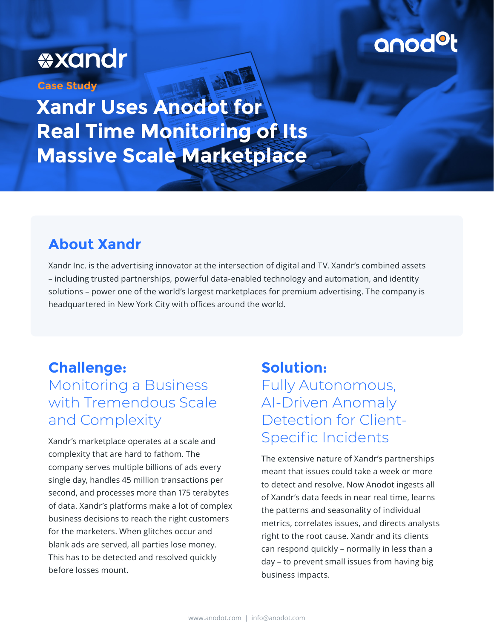# **\*xandr**

**Case Study**

**Xandr Uses Anodot for Real Time Monitoring of Its Massive Scale Marketplace**

### **About Xandr**

Xandr Inc. is the advertising innovator at the intersection of digital and TV. Xandr's combined assets – including trusted partnerships, powerful data-enabled technology and automation, and identity solutions – power one of the world's largest marketplaces for premium advertising. The company is headquartered in New York City with offices around the world.

### **Challenge:**  Monitoring a Business with Tremendous Scale and Complexity

Xandr's marketplace operates at a scale and complexity that are hard to fathom. The company serves multiple billions of ads every single day, handles 45 million transactions per second, and processes more than 175 terabytes of data. Xandr's platforms make a lot of complex business decisions to reach the right customers for the marketers. When glitches occur and blank ads are served, all parties lose money. This has to be detected and resolved quickly before losses mount.

### **Solution:**  Fully Autonomous, AI-Driven Anomaly Detection for Client-

Specific Incidents

The extensive nature of Xandr's partnerships meant that issues could take a week or more to detect and resolve. Now Anodot ingests all of Xandr's data feeds in near real time, learns the patterns and seasonality of individual metrics, correlates issues, and directs analysts right to the root cause. Xandr and its clients can respond quickly – normally in less than a day – to prevent small issues from having big business impacts.

anod<sup>o</sup>t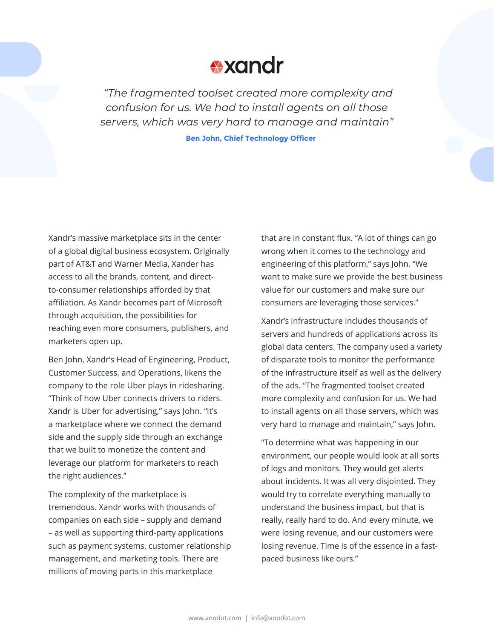## **\*xandr**

 *"The fragmented toolset created more complexity and confusion for us. We had to install agents on all those servers, which was very hard to manage and maintain"*

**Ben John, Chief Technology Officer**

Xandr's massive marketplace sits in the center of a global digital business ecosystem. Originally part of AT&T and Warner Media, Xander has access to all the brands, content, and directto-consumer relationships afforded by that affiliation. As Xandr becomes part of Microsoft through acquisition, the possibilities for reaching even more consumers, publishers, and marketers open up.

Ben John, Xandr's Head of Engineering, Product, Customer Success, and Operations, likens the company to the role Uber plays in ridesharing. "Think of how Uber connects drivers to riders. Xandr is Uber for advertising," says John. "It's a marketplace where we connect the demand side and the supply side through an exchange that we built to monetize the content and leverage our platform for marketers to reach the right audiences."

The complexity of the marketplace is tremendous. Xandr works with thousands of companies on each side – supply and demand – as well as supporting third-party applications such as payment systems, customer relationship management, and marketing tools. There are millions of moving parts in this marketplace

that are in constant flux. "A lot of things can go wrong when it comes to the technology and engineering of this platform," says John. "We want to make sure we provide the best business value for our customers and make sure our consumers are leveraging those services."

Xandr's infrastructure includes thousands of servers and hundreds of applications across its global data centers. The company used a variety of disparate tools to monitor the performance of the infrastructure itself as well as the delivery of the ads. "The fragmented toolset created more complexity and confusion for us. We had to install agents on all those servers, which was very hard to manage and maintain," says John.

"To determine what was happening in our environment, our people would look at all sorts of logs and monitors. They would get alerts about incidents. It was all very disjointed. They would try to correlate everything manually to understand the business impact, but that is really, really hard to do. And every minute, we were losing revenue, and our customers were losing revenue. Time is of the essence in a fastpaced business like ours."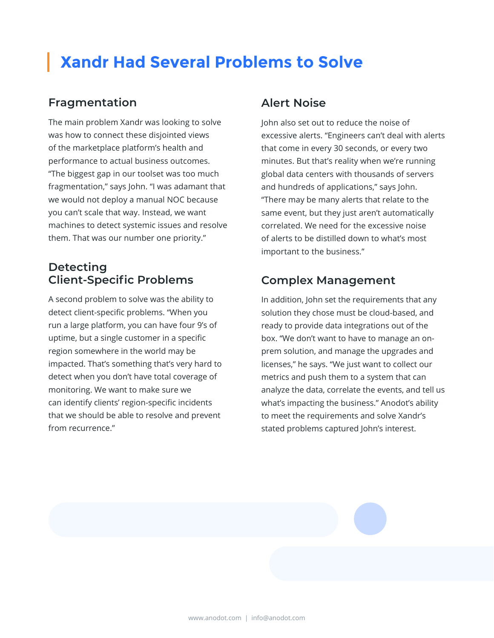## **Xandr Had Several Problems to Solve**

#### **Fragmentation**

The main problem Xandr was looking to solve was how to connect these disjointed views of the marketplace platform's health and performance to actual business outcomes. "The biggest gap in our toolset was too much fragmentation," says John. "I was adamant that we would not deploy a manual NOC because you can't scale that way. Instead, we want machines to detect systemic issues and resolve them. That was our number one priority."

#### **Detecting Client-Specific Problems**

A second problem to solve was the ability to detect client-specific problems. "When you run a large platform, you can have four 9's of uptime, but a single customer in a specific region somewhere in the world may be impacted. That's something that's very hard to detect when you don't have total coverage of monitoring. We want to make sure we can identify clients' region-specific incidents that we should be able to resolve and prevent from recurrence."

#### **Alert Noise**

John also set out to reduce the noise of excessive alerts. "Engineers can't deal with alerts that come in every 30 seconds, or every two minutes. But that's reality when we're running global data centers with thousands of servers and hundreds of applications," says John. "There may be many alerts that relate to the same event, but they just aren't automatically correlated. We need for the excessive noise of alerts to be distilled down to what's most important to the business."

#### **Complex Management**

In addition, John set the requirements that any solution they chose must be cloud-based, and ready to provide data integrations out of the box. "We don't want to have to manage an onprem solution, and manage the upgrades and licenses," he says. "We just want to collect our metrics and push them to a system that can analyze the data, correlate the events, and tell us what's impacting the business." Anodot's ability to meet the requirements and solve Xandr's stated problems captured John's interest.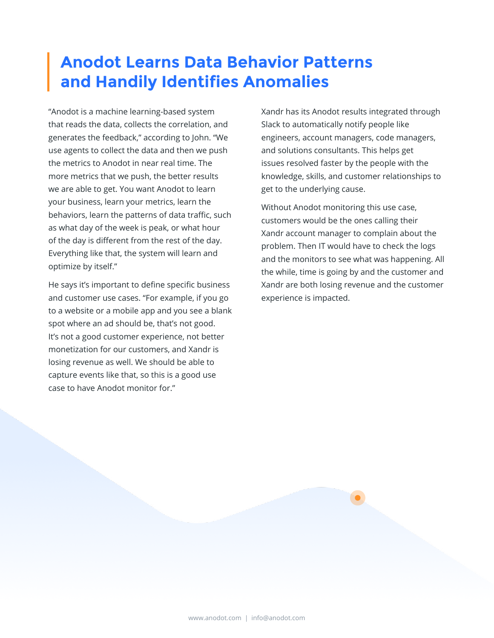## **Anodot Learns Data Behavior Patterns and Handily Identifies Anomalies**

"Anodot is a machine learning-based system that reads the data, collects the correlation, and generates the feedback," according to John. "We use agents to collect the data and then we push the metrics to Anodot in near real time. The more metrics that we push, the better results we are able to get. You want Anodot to learn your business, learn your metrics, learn the behaviors, learn the patterns of data traffic, such as what day of the week is peak, or what hour of the day is different from the rest of the day. Everything like that, the system will learn and optimize by itself."

He says it's important to define specific business and customer use cases. "For example, if you go to a website or a mobile app and you see a blank spot where an ad should be, that's not good. It's not a good customer experience, not better monetization for our customers, and Xandr is losing revenue as well. We should be able to capture events like that, so this is a good use case to have Anodot monitor for."

Xandr has its Anodot results integrated through Slack to automatically notify people like engineers, account managers, code managers, and solutions consultants. This helps get issues resolved faster by the people with the knowledge, skills, and customer relationships to get to the underlying cause.

Without Anodot monitoring this use case, customers would be the ones calling their Xandr account manager to complain about the problem. Then IT would have to check the logs and the monitors to see what was happening. All the while, time is going by and the customer and Xandr are both losing revenue and the customer experience is impacted.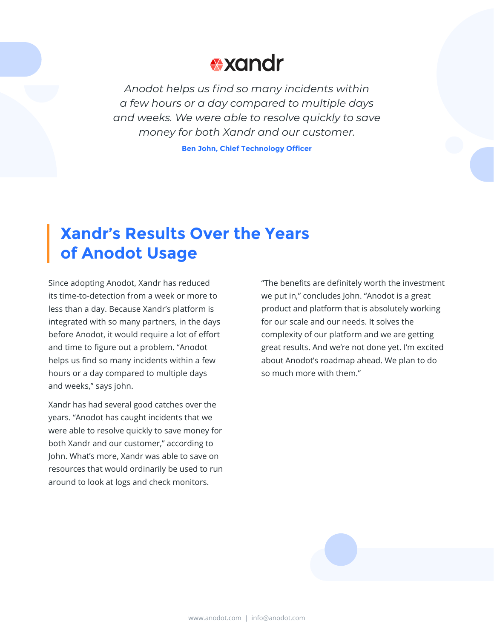## **\*xandr**

*Anodot helps us find so many incidents within a few hours or a day compared to multiple days and weeks. We were able to resolve quickly to save money for both Xandr and our customer.*

**Ben John, Chief Technology Officer**

## **Xandr's Results Over the Years of Anodot Usage**

Since adopting Anodot, Xandr has reduced its time-to-detection from a week or more to less than a day. Because Xandr's platform is integrated with so many partners, in the days before Anodot, it would require a lot of effort and time to figure out a problem. "Anodot helps us find so many incidents within a few hours or a day compared to multiple days and weeks," says john.

Xandr has had several good catches over the years. "Anodot has caught incidents that we were able to resolve quickly to save money for both Xandr and our customer," according to John. What's more, Xandr was able to save on resources that would ordinarily be used to run around to look at logs and check monitors.

"The benefits are definitely worth the investment we put in," concludes John. "Anodot is a great product and platform that is absolutely working for our scale and our needs. It solves the complexity of our platform and we are getting great results. And we're not done yet. I'm excited about Anodot's roadmap ahead. We plan to do so much more with them."